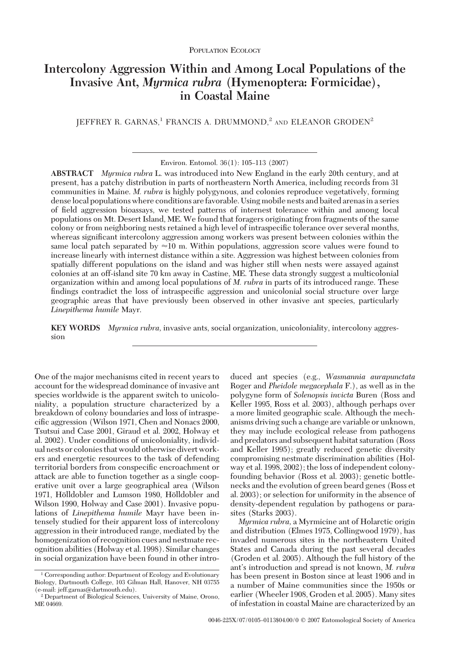# **Intercolony Aggression Within and Among Local Populations of the Invasive Ant,** *Myrmica rubra* **(Hymenoptera: Formicidae), in Coastal Maine**

 $\rm{I}\,E$ FRANCIS A. DRUMMOND,<sup>2</sup> AND ELEANOR GRODEN<sup>2</sup>

Environ. Entomol. 36(1): 105-113 (2007)

**ABSTRACT** *Myrmica rubra* L. was introduced into New England in the early 20th century, and at present, has a patchy distribution in parts of northeastern North America, including records from 31 communities in Maine. *M. rubra* is highly polygynous, and colonies reproduce vegetatively, forming denselocal populations where conditions are favorable. Using mobile nests and baited arenasin a series of field aggression bioassays, we tested patterns of internest tolerance within and among local populations on Mt. Desert Island, ME. We found that foragers originating from fragments of the same colony or from neighboring nests retained a high level of intraspecific tolerance over several months, whereas significant intercolony aggression among workers was present between colonies within the same local patch separated by  $\approx$  10 m. Within populations, aggression score values were found to increase linearly with internest distance within a site. Aggression was highest between colonies from spatially different populations on the island and was higher still when nests were assayed against colonies at an off-island site 70 km away in Castine, ME. These data strongly suggest a multicolonial organization within and among local populations of *M. rubra* in parts of its introduced range. These findings contradict the loss of intraspecific aggression and unicolonial social structure over large geographic areas that have previously been observed in other invasive ant species, particularly *Linepithema humile* Mayr.

**KEY WORDS** *Myrmica rubra,* invasive ants, social organization, unicoloniality, intercolony aggression

One of the major mechanisms cited in recent years to account for the widespread dominance of invasive ant species worldwide is the apparent switch to unicoloniality, a population structure characterized by a breakdown of colony boundaries and loss of intraspecific aggression (Wilson 1971, Chen and Nonacs 2000, Tsutsui and Case 2001, Giraud et al. 2002, Holway et al. 2002). Under conditions of unicoloniality, individual nests or colonies that would otherwise divert workers and energetic resources to the task of defending territorial borders from conspecific encroachment or attack are able to function together as a single cooperative unit over a large geographical area (Wilson 1971, Hölldobler and Lumson 1980, Hölldobler and Wilson 1990, Holway and Case 2001). Invasive populations of *Linepithema humile* Mayr have been intensely studied for their apparent loss of intercolony aggression in their introduced range, mediated by the homogenization of recognition cues and nestmate recognition abilities (Holway et al. 1998). Similar changes in social organization have been found in other introduced ant species (e.g., *Wasmannia aurapunctata* Roger and *Pheidole megacephala* F.), as well as in the polygyne form of *Solenopsis invicta* Buren (Ross and Keller 1995, Ross et al. 2003), although perhaps over a more limited geographic scale. Although the mechanisms driving such a change are variable or unknown, they may include ecological release from pathogens and predators and subsequent habitat saturation (Ross and Keller 1995); greatly reduced genetic diversity compromising nestmate discrimination abilities (Holway et al. 1998, 2002); the loss of independent colonyfounding behavior (Ross et al. 2003); genetic bottlenecks and the evolution of green beard genes (Ross et al. 2003); or selection for uniformity in the absence of density-dependent regulation by pathogens or parasites (Starks 2003).

*Myrmica rubra,* a Myrmicine ant of Holarctic origin and distribution (Elmes 1975, Collingwood 1979), has invaded numerous sites in the northeastern United States and Canada during the past several decades (Groden et al. 2005). Although the full history of the ant's introduction and spread is not known, *M. rubra* has been present in Boston since at least 1906 and in a number of Maine communities since the 1950s or earlier (Wheeler 1908, Groden et al. 2005). Many sites of infestation in coastal Maine are characterized by an

<sup>&</sup>lt;sup>1</sup> Corresponding author: Department of Ecology and Evolutionary Biology, Dartmouth College, 103 Gilman Hall, Hanover, NH 03755 (e-mail: jeff.garnas@dartmouth.edu).

<sup>2</sup> Department of Biological Sciences, University of Maine, Orono, ME 04669.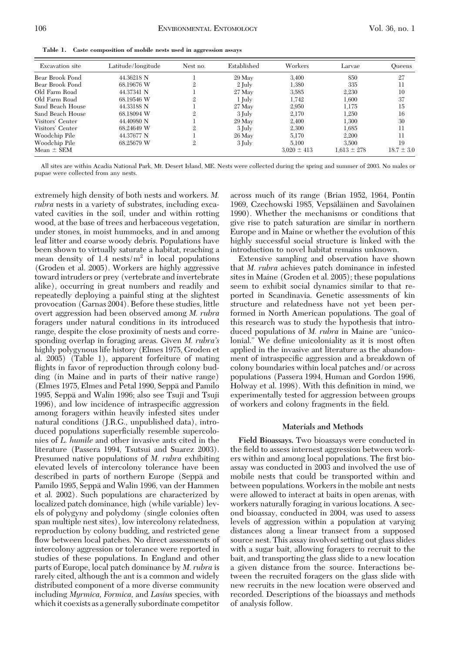| <b>Excavation</b> site | Latitude/longitude | Nest no. | Established | Workers         | Larvae          | <b>Oueens</b>  |
|------------------------|--------------------|----------|-------------|-----------------|-----------------|----------------|
| Bear Brook Pond        | 44.36218 N         |          | 29 May      | 3,400           | 850             | 27             |
| Bear Brook Pond        | 68.19676 W         | 2        | 2 July      | 1.380           | 335             | 11             |
| Old Farm Road          | 44.37341 N         |          | $27$ May    | 3.585           | 2.230           | 10             |
| Old Farm Road          | 68.19546 W         |          | 1 July      | 1.742           | 1,600           | 37             |
| Sand Beach House       | 44.33188 N         |          | $27$ May    | 2.950           | 1.175           | 15             |
| Sand Beach House       | 68.18094 W         |          | 3 July      | 2.170           | 1.250           | 16             |
| Visitors' Center       | 44.40980 N         |          | 29 May      | 2,400           | 1,300           | 30             |
| Visitors' Center       | 68.24649 W         |          | 3 July      | 2.300           | 1.685           | 11             |
| Woodchip Pile          | 44.37677 N         |          | 26 May      | 5.170           | 2.200           | 11             |
| Woodchip Pile          | 68.25679 W         | 2        | 3 July      | 5.100           | 3.500           | 19             |
| Mean $\pm$ SEM         |                    |          |             | $3.020 \pm 413$ | $1.613 \pm 278$ | $18.7 \pm 3.0$ |

All sites are within Acadia National Park, Mt. Desert Island, ME. Nests were collected during the spring and summer of 2003. No males or pupae were collected from any nests.

extremely high density of both nests and workers. *M. rubra* nests in a variety of substrates, including excavated cavities in the soil, under and within rotting wood, at the base of trees and herbaceous vegetation, under stones, in moist hummocks, and in and among leaf litter and coarse woody debris. Populations have been shown to virtually saturate a habitat, reaching a mean density of 1.4 nests/ $m^2$  in local populations (Groden et al. 2005). Workers are highly aggressive toward intruders or prey (vertebrate and invertebrate alike), occurring in great numbers and readily and repeatedly deploying a painful sting at the slightest provocation (Garnas 2004). Before these studies, little overt aggression had been observed among *M. rubra* foragers under natural conditions in its introduced range, despite the close proximity of nests and corresponding overlap in foraging areas. Given *M. rubra's* highly polygynous life history (Elmes 1975, Groden et al. 2005) (Table 1), apparent forfeiture of mating flights in favor of reproduction through colony budding (in Maine and in parts of their native range) (Elmes 1975, Elmes and Petal 1990, Seppä and Pamilo 1995, Seppa¨ and Walin 1996; also see Tsuji and Tsuji 1996), and low incidence of intraspecific aggression among foragers within heavily infested sites under natural conditions (J.R.G., unpublished data), introduced populations superficially resemble supercolonies of *L. humile* and other invasive ants cited in the literature (Passera 1994, Tsutsui and Suarez 2003). Presumed native populations of *M. rubra* exhibiting elevated levels of intercolony tolerance have been described in parts of northern Europe (Seppa and Pamilo 1995, Seppä and Walin 1996, van der Hammen et al. 2002). Such populations are characterized by localized patch dominance, high (while variable) levels of polygyny and polydomy (single colonies often span multiple nest sites), low intercolony relatedness, reproduction by colony budding, and restricted gene flow between local patches. No direct assessments of intercolony aggression or tolerance were reported in studies of these populations. In England and other parts of Europe, local patch dominance by *M. rubra* is rarely cited, although the ant is a common and widely distributed component of a more diverse community including *Myrmica, Formica,* and *Lasius* species, with which it coexists as a generally subordinate competitor across much of its range (Brian 1952, 1964, Pontin 1969, Czechowski 1985, Vepsäläinen and Savolainen 1990). Whether the mechanisms or conditions that give rise to patch saturation are similar in northern Europe and in Maine or whether the evolution of this highly successful social structure is linked with the introduction to novel habitat remains unknown.

Extensive sampling and observation have shown that *M. rubra* achieves patch dominance in infested sites in Maine (Groden et al. 2005); these populations seem to exhibit social dynamics similar to that reported in Scandinavia. Genetic assessments of kin structure and relatedness have not yet been performed in North American populations. The goal of this research was to study the hypothesis that introduced populations of *M. rubra* in Maine are "unicolonial." We define unicoloniality as it is most often applied in the invasive ant literature as the abandonment of intraspecific aggression and a breakdown of colony boundaries within local patches and/or across populations (Passera 1994, Human and Gordon 1996, Holway et al. 1998). With this definition in mind, we experimentally tested for aggression between groups of workers and colony fragments in the field.

#### **Materials and Methods**

**Field Bioassays.** Two bioassays were conducted in the field to assess internest aggression between workers within and among local populations. The first bioassay was conducted in 2003 and involved the use of mobile nests that could be transported within and between populations. Workers in the mobile ant nests were allowed to interact at baits in open arenas, with workers naturally foraging in various locations. A second bioassay, conducted in 2004, was used to assess levels of aggression within a population at varying distances along a linear transect from a supposed source nest. This assay involved setting out glass slides with a sugar bait, allowing foragers to recruit to the bait, and transporting the glass slide to a new location a given distance from the source. Interactions between the recruited foragers on the glass slide with new recruits in the new location were observed and recorded. Descriptions of the bioassays and methods of analysis follow.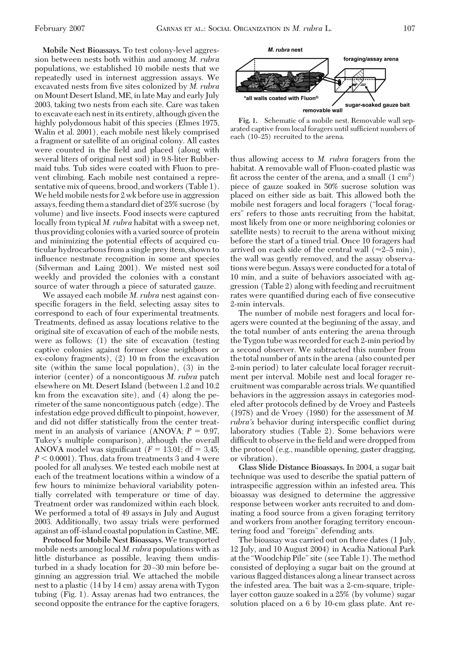**Mobile Nest Bioassays.** To test colony-level aggression between nests both within and among *M. rubra* populations, we established 10 mobile nests that we repeatedly used in internest aggression assays. We excavated nests from five sites colonized by *M. rubra* on Mount Desert Island, ME, in late May and early July 2003, taking two nests from each site. Care was taken to excavate each nestinits entirety, although given the highly polydomous habit of this species (Elmes 1975, Walin et al. 2001), each mobile nest likely comprised a fragment or satellite of an original colony. All castes were counted in the field and placed (along with several liters of original nest soil) in 9.8-liter Rubbermaid tubs. Tub sides were coated with Fluon to prevent climbing. Each mobile nest contained a representative mix of queens, brood, and workers (Table 1). We held mobile nests for 2 wk before use in aggression assays, feeding them a standard diet of 25% sucrose (by volume) and live insects. Food insects were captured locally from typical *M. rubra* habitat with a sweep net, thus providing colonies with a varied source of protein and minimizing the potential effects of acquired cuticular hydrocarbons from a single prey item, shown to inßuence nestmate recognition in some ant species (Silverman and Laing 2001). We misted nest soil weekly and provided the colonies with a constant source of water through a piece of saturated gauze.

We assayed each mobile *M. rubra* nest against conspecific foragers in the field, selecting assay sites to correspond to each of four experimental treatments. Treatments, defined as assay locations relative to the original site of excavation of each of the mobile nests, were as follows: (1) the site of excavation (testing captive colonies against former close neighbors or ex-colony fragments), (2) 10 m from the excavation site (within the same local population), (3) in the interior (center) of a noncontiguous *M. rubra* patch elsewhere on Mt. Desert Island (between 1.2 and 10.2 km from the excavation site), and (4) along the perimeter of the same noncontiguous patch (edge). The infestation edge proved difficult to pinpoint, however, and did not differ statistically from the center treatment in an analysis of variance (ANOVA;  $P = 0.97$ , Tukey's multiple comparison), although the overall ANOVA model was significant  $(F = 13.01; df = 3.45;$  $P < 0.0001$ ). Thus, data from treatments 3 and 4 were pooled for all analyses. We tested each mobile nest at each of the treatment locations within a window of a few hours to minimize behavioral variability potentially correlated with temperature or time of day. Treatment order was randomized within each block. We performed a total of 49 assays in July and August 2003. Additionally, two assay trials were performed against an off-island coastal population in Castine,ME.

**Protocol for Mobile Nest Bioassays.** We transported mobile nests among local *M. rubra* populations with as little disturbance as possible, leaving them undisturbed in a shady location for 20–30 min before beginning an aggression trial. We attached the mobile nest to a plastic (14 by 14 cm) assay arena with Tygon tubing (Fig. 1). Assay arenas had two entrances, the second opposite the entrance for the captive foragers,



**Fig. 1.** Schematic of a mobile nest. Removable wall separated captive from local foragers until sufficient numbers of each (10–25) recruited to the arena.

thus allowing access to *M. rubra* foragers from the habitat. A removable wall of Fluon-coated plastic was fit across the center of the arena, and a small  $(1 \text{ cm}^2)$ piece of gauze soaked in 50% sucrose solution was placed on either side as bait. This allowed both the mobile nest foragers and local foragers ("local foragers" refers to those ants recruiting from the habitat, most likely from one or more neighboring colonies or satellite nests) to recruit to the arena without mixing before the start of a timed trial. Once 10 foragers had arrived on each side of the central wall ( $\approx$ 2–5 min), the wall was gently removed, and the assay observations were begun. Assays were conducted for a total of 10 min, and a suite of behaviors associated with aggression (Table 2) along with feeding and recruitment rates were quantified during each of five consecutive 2-min intervals.

The number of mobile nest foragers and local foragers were counted at the beginning of the assay, and the total number of ants entering the arena through the Tygon tube was recorded for each 2-min period by a second observer. We subtracted this number from the total number of ants in the arena (also counted per 2-min period) to later calculate local forager recruitment per interval. Mobile nest and local forager recruitment was comparable across trials. We quantified behaviors in the aggression assays in categories modeled after protocols defined by de Vroey and Pasteels (1978) and de Vroey (1980) for the assessment of *M. rubra's* behavior during interspecific conflict during laboratory studies (Table 2). Some behaviors were difficult to observe in the field and were dropped from the protocol (e.g., mandible opening, gaster dragging, or vibration).

**Glass Slide Distance Bioassays.** In 2004, a sugar bait technique was used to describe the spatial pattern of intraspecific aggression within an infested area. This bioassay was designed to determine the aggressive response between worker ants recruited to and dominating a food source from a given foraging territory and workers from another foraging territory encountering food and "foreign" defending ants.

The bioassay was carried out on three dates (1 July, 12 July, and 10 August 2004) in Acadia National Park at the "Woodchip Pile"site (see Table 1). The method consisted of deploying a sugar bait on the ground at various ßagged distances along a linear transect across the infested area. The bait was a 2-cm-square, triplelayer cotton gauze soaked in a 25% (by volume) sugar solution placed on a 6 by 10-cm glass plate. Ant re-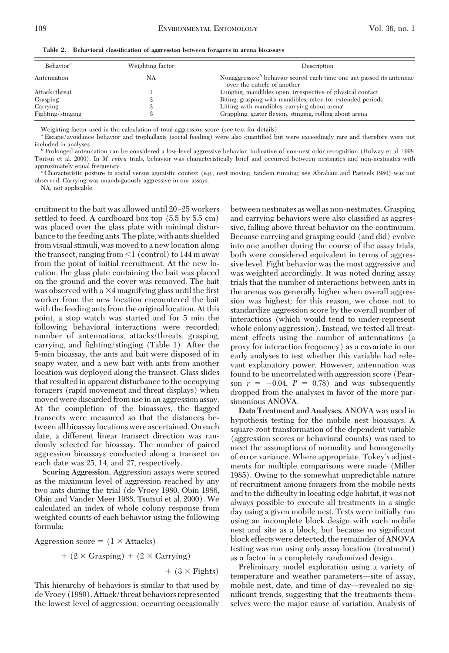**Table 2. Behavioral classification of aggression between foragers in arena bioassays**

| Behavior <sup>a</sup> | Weighting factor | Description                                                                                        |  |  |
|-----------------------|------------------|----------------------------------------------------------------------------------------------------|--|--|
| NA<br>Antennation     |                  | Nonaggressive behavior scored each time one ant passed its antennae<br>over the cuticle of another |  |  |
| Attack/threat         |                  | Lunging, mandibles open, irrespective of physical contact                                          |  |  |
| Grasping              |                  | Biting, grasping with mandibles; often for extended periods                                        |  |  |
| Carrying              |                  | Lifting with mandibles, carrying about arena <sup><math>c</math></sup>                             |  |  |
| Fighting/stinging     |                  | Grappling, gaster flexion, stinging, rolling about arena                                           |  |  |

Weighting factor used in the calculation of total aggression score (see text for details).

*a* Escape/avoidance behavior and trophallaxis (social feeding) were also quantified but were exceedingly rare and therefore were not included in analyses. *<sup>b</sup>* Prolonged antennation can be considered a low-level aggressive behavior, indicative of non-nest odor recognition (Holway et al. 1998,

Tsutsui et al. 2000). In *M. rubra* trials, behavior was characteristically brief and occurred between nestmates and non-nestmates with approximately equal frequency. *<sup>c</sup>* Characteristic posture in social versus agonistic context (e.g., nest moving, tandem running; see Abraham and Pasteels 1980) was not

observed. Carrying was unambiguously aggressive in our assays.

NA, not applicable.

cruitment to the bait was allowed until 20-25 workers settled to feed. A cardboard box top (5.5 by 5.5 cm) was placed over the glass plate with minimal disturbance to the feeding ants. The plate, with ants shielded from visual stimuli, was moved to a new location along the transect, ranging from  $\leq 1$  (control) to 144 m away from the point of initial recruitment. At the new location, the glass plate containing the bait was placed on the ground and the cover was removed. The bait was observed with a  $\times$ 4 magnifying glass until the first worker from the new location encountered the bait with the feeding ants from the original location. At this point, a stop watch was started and for 5 min the following behavioral interactions were recorded: number of antennations, attacks/threats, grasping, carrying, and fighting/stinging (Table 1). After the 5-min bioassay, the ants and bait were disposed of in soapy water, and a new bait with ants from another location was deployed along the transect. Glass slides that resulted in apparent disturbance to the occupying foragers (rapid movement and threat displays) when moved were discarded from use in an aggression assay. At the completion of the bioassays, the ßagged transects were measured so that the distances between all bioassaylocations were ascertained. On each date, a different linear transect direction was randomly selected for bioassay. The number of paired aggression bioassays conducted along a transect on each date was 25, 14, and 27, respectively.

**Scoring Aggression.** Aggression assays were scored as the maximum level of aggression reached by any two ants during the trial (de Vroey 1980, Obin 1986, Obin and Vander Meer 1988, Tsutsui et al. 2000). We calculated an index of whole colony response from weighted counts of each behavior using the following formula:

Aggression score  $= (1 \times$  Attacks)

$$
+ (2 \times \text{Grasping}) + (2 \times \text{Carrying})
$$

 $+$  (3  $\times$  Fights)

This hierarchy of behaviors is similar to that used by de Vroey (1980). Attack/threat behaviors represented the lowest level of aggression, occurring occasionally between nestmates as well as non-nestmates. Grasping and carrying behaviors were also classified as aggressive, falling above threat behavior on the continuum. Because carrying and grasping could (and did) evolve into one another during the course of the assay trials, both were considered equivalent in terms of aggressive level. Fight behavior was the most aggressive and was weighted accordingly. It was noted during assay trials that the number of interactions between ants in the arenas was generally higher when overall aggression was highest; for this reason, we chose not to standardize aggression score by the overall number of interactions (which would tend to under-represent whole colony aggression). Instead, we tested all treatment effects using the number of antennations (a proxy for interaction frequency) as a covariate in our early analyses to test whether this variable had relevant explanatory power. However, antennation was found to be uncorrelated with aggression score (Pearson  $r = -0.04$ ,  $P = 0.78$ ) and was subsequently dropped from the analyses in favor of the more parsimonious ANOVA.

**Data Treatment and Analyses.** ANOVA was used in hypothesis testing for the mobile nest bioassays. A square-root transformation of the dependent variable (aggression scores or behavioral counts) was used to meet the assumptions of normality and homogeneity of error variance. Where appropriate, Tukey's adjustments for multiple comparisons were made (Miller 1985). Owing to the somewhat unpredictable nature of recruitment among foragers from the mobile nests and to the difficulty in locating edge habitat, it was not always possible to execute all treatments in a single day using a given mobile nest. Tests were initially run using an incomplete block design with each mobile nest and site as a block, but because no significant block effects were detected, the remainder of ANOVA testing was run using only assay location (treatment) as a factor in a completely randomized design.

Preliminary model exploration using a variety of temperature and weather parameters—site of assay, mobile nest, date, and time of day—revealed no significant trends, suggesting that the treatments themselves were the major cause of variation. Analysis of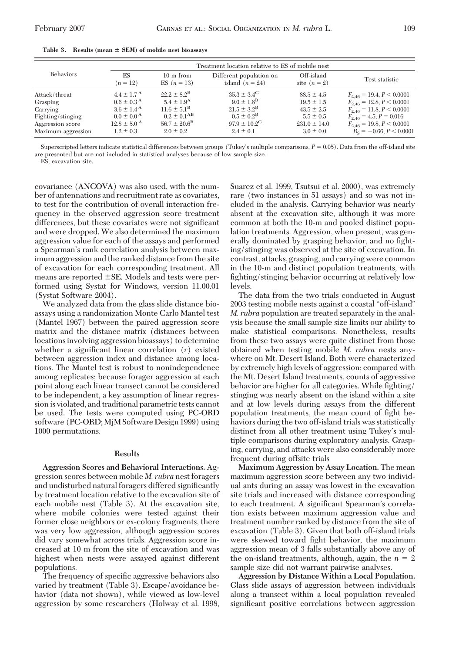|                    | Treatment location relative to ES of mobile nest |                                      |                                              |                            |                                 |  |  |
|--------------------|--------------------------------------------------|--------------------------------------|----------------------------------------------|----------------------------|---------------------------------|--|--|
| <b>Behaviors</b>   | ES<br>$(n = 12)$                                 | $10 \text{ m from}$<br>ES $(n = 13)$ | Different population on<br>island $(n = 24)$ | Off-island<br>site $(n=2)$ | Test statistic                  |  |  |
| Attack/threat      | $4.4 \pm 1.7^{\rm A}$                            | $22.2 \pm 8.2^{\rm B}$               | $35.3 \pm 3.4^{\circ}$                       | $88.5 \pm 4.5$             | $F_{2.46} = 19.4, P \le 0.0001$ |  |  |
| Grasping           | $0.6 \pm 0.3^{\rm A}$                            | $5.4 \pm 1.9^{\rm A}$                | $9.0 \pm 1.8^{\rm B}$                        | $19.5 \pm 1.5$             | $F_{2,46} = 12.8, P \le 0.0001$ |  |  |
| Carrying           | $3.6 \pm 1.4^{\rm A}$                            | $11.6 \pm 5.1^{\rm B}$               | $21.5 \pm 3.2^{\rm B}$                       | $43.5 \pm 2.5$             | $F_{2,46} = 11.8, P \le 0.0001$ |  |  |
| Fighting/stinging  | $0.0 \pm 0.0^{\rm A}$                            | $0.2 \pm 0.1^{AB}$                   | $0.5 \pm 0.2^{\rm B}$                        | $5.5 \pm 0.5$              | $F_{2,46} = 4.5, P = 0.016$     |  |  |
| Aggression score   | $12.8 \pm 5.0^{\circ}$ A                         | $56.7 \pm 20.6^{\rm B}$              | $97.9 \pm 10.2^{\circ}$                      | $231.0 \pm 14.0$           | $F_{2,46} = 19.8, P \le 0.0001$ |  |  |
| Maximum aggression | $1.2 \pm 0.3$                                    | $2.0 \pm 0.2$                        | $2.4 \pm 0.1$                                | $3.0 \pm 0.0$              | $R_s$ = +0.66, $P \le 0.0001$   |  |  |

**Table 3. Results (mean SEM) of mobile nest bioassays**

Superscripted letters indicate statistical differences between groups (Tukey's multiple comparisons,  $P = 0.05$ ). Data from the off-island site are presented but are not included in statistical analyses because of low sample size.

ES, excavation site.

covariance (ANCOVA) was also used, with the number of antennations and recruitment rate as covariates, to test for the contribution of overall interaction frequency in the observed aggression score treatment differences, but these covariates were not significant and were dropped. We also determined the maximum aggression value for each of the assays and performed a Spearman's rank correlation analysis between maximum aggression and the ranked distance from the site of excavation for each corresponding treatment. All means are reported  $\pm$ SE. Models and tests were performed using Systat for Windows, version 11.00.01 (Systat Software 2004).

We analyzed data from the glass slide distance bioassays using a randomization Monte Carlo Mantel test (Mantel 1967) between the paired aggression score matrix and the distance matrix (distances between locations involving aggression bioassays) to determine whether a significant linear correlation (*r*) existed between aggression index and distance among locations. The Mantel test is robust to nonindependence among replicates; because forager aggression at each point along each linear transect cannot be considered to be independent, a key assumption of linear regression is violated, and traditional parametric tests cannot be used. The tests were computed using PC-ORD software (PC-ORD; MjM Software Design 1999) using 1000 permutations.

## **Results**

**Aggression Scores and Behavioral Interactions.** Aggression scores between mobile *M. rubra* nest foragers and undisturbed natural foragers differed significantly by treatment location relative to the excavation site of each mobile nest (Table 3). At the excavation site, where mobile colonies were tested against their former close neighbors or ex-colony fragments, there was very low aggression, although aggression scores did vary somewhat across trials. Aggression score increased at 10 m from the site of excavation and was highest when nests were assayed against different populations.

The frequency of specific aggressive behaviors also varied by treatment (Table 3). Escape/avoidance behavior (data not shown), while viewed as low-level aggression by some researchers (Holway et al. 1998, Suarez et al. 1999, Tsutsui et al. 2000), was extremely rare (two instances in 51 assays) and so was not included in the analysis. Carrying behavior was nearly absent at the excavation site, although it was more common at both the 10-m and pooled distinct population treatments. Aggression, when present, was generally dominated by grasping behavior, and no fighting/stinging was observed at the site of excavation. In contrast, attacks, grasping, and carrying were common in the 10-m and distinct population treatments, with fighting/stinging behavior occurring at relatively low levels.

The data from the two trials conducted in August 2003 testing mobile nests against a coastal "off-island" *M. rubra* population are treated separately in the analysis because the small sample size limits our ability to make statistical comparisons. Nonetheless, results from these two assays were quite distinct from those obtained when testing mobile *M. rubra* nests anywhere on Mt. Desert Island. Both were characterized by extremely high levels of aggression; compared with the Mt. Desert Island treatments, counts of aggressive behavior are higher for all categories. While fighting/ stinging was nearly absent on the island within a site and at low levels during assays from the different population treatments, the mean count of fight behaviors during the two off-island trials was statistically distinct from all other treatment using Tukey's multiple comparisons during exploratory analysis. Grasping, carrying, and attacks were also considerably more frequent during offsite trials

**Maximum Aggression by Assay Location.** The mean maximum aggression score between any two individual ants during an assay was lowest in the excavation site trials and increased with distance corresponding to each treatment. A significant Spearman's correlation exists between maximum aggression value and treatment number ranked by distance from the site of excavation (Table 3). Given that both off-island trials were skewed toward fight behavior, the maximum aggression mean of 3 falls substantially above any of the on-island treatments, although, again, the  $n = 2$ sample size did not warrant pairwise analyses.

**Aggression by Distance Within a Local Population.** Glass slide assays of aggression between individuals along a transect within a local population revealed significant positive correlations between aggression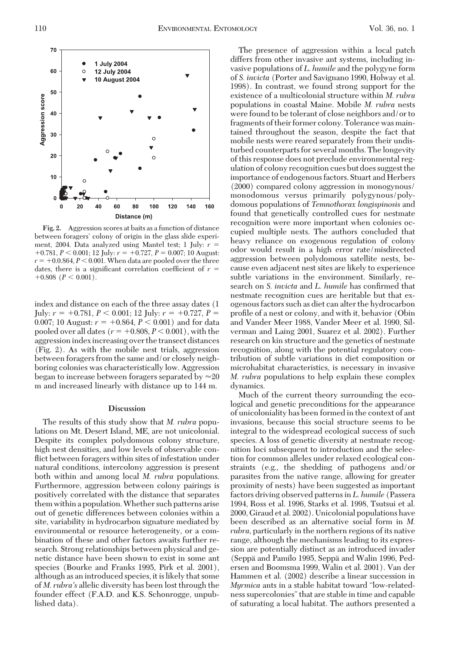

**Fig. 2.** Aggression scores at baits as a function of distance between foragers' colony of origin in the glass slide experiment, 2004. Data analyzed using Mantel test; 1 July:  $r =$  $+0.781, P < 0.001$ ; 12 July:  $r = +0.727, P = 0.007$ ; 10 August:  $r = +0.0.864$ ,  $P < 0.001$ . When data are pooled over the three dates, there is a significant correlation coefficient of  $r =$  $+0.808$  ( $P < 0.001$ ).

index and distance on each of the three assay dates (1 July:  $r = +0.781, P < 0.001$ ; 12 July:  $r = +0.727, P =$ 0.007; 10 August:  $r = +0.864, P < 0.001$ ) and for data pooled over all dates  $(r = +0.808, P < 0.001)$ , with the aggression index increasing over the transect distances (Fig. 2). As with the mobile nest trials, aggression between foragers from the same and/or closely neighboring colonies was characteristically low. Aggression began to increase between foragers separated by  $\approx 20$ m and increased linearly with distance up to 144 m.

## **Discussion**

The results of this study show that *M. rubra* populations on Mt. Desert Island, ME, are not unicolonial. Despite its complex polydomous colony structure, high nest densities, and low levels of observable conflict between foragers within sites of infestation under natural conditions, intercolony aggression is present both within and among local *M. rubra* populations. Furthermore, aggression between colony pairings is positively correlated with the distance that separates them within a population.Whether such patterns arise out of genetic differences between colonies within a site, variability in hydrocarbon signature mediated by environmental or resource heterogeneity, or a combination of these and other factors awaits further research. Strong relationships between physical and genetic distance have been shown to exist in some ant species (Bourke and Franks 1995, Pirk et al. 2001), although as an introduced species, it is likely that some of *M. rubra's* allelic diversity has been lost through the founder effect (F.A.D. and K.S. Schonrogge, unpublished data).

The presence of aggression within a local patch differs from other invasive ant systems, including invasive populations of *L. humile* and the polygyne form of *S. invicta* (Porter and Savignano 1990, Holway et al. 1998). In contrast, we found strong support for the existence of a multicolonial structure within *M. rubra* populations in coastal Maine. Mobile *M. rubra* nests were found to be tolerant of close neighbors and/or to fragments of their former colony. Tolerance was maintained throughout the season, despite the fact that mobile nests were reared separately from their undisturbed counterparts for several months. The longevity of this response does not preclude environmental regulation of colony recognition cues but does suggest the importance of endogenous factors. Stuart and Herbers (2000) compared colony aggression in monogynous/ monodomous versus primarily polygynous/polydomous populations of *Temnothorax longispinosis* and found that genetically controlled cues for nestmate recognition were more important when colonies occupied multiple nests. The authors concluded that heavy reliance on exogenous regulation of colony odor would result in a high error rate/misdirected aggression between polydomous satellite nests, because even adjacent nest sites are likely to experience subtle variations in the environment. Similarly, research on *S. invicta* and *L. humile* has confirmed that nestmate recognition cues are heritable but that exogenous factors such as diet can alter the hydrocarbon profile of a nest or colony, and with it, behavior (Obin and Vander Meer 1988, Vander Meer et al. 1990, Silverman and Laing 2001, Suarez et al. 2002). Further research on kin structure and the genetics of nestmate recognition, along with the potential regulatory contribution of subtle variations in diet composition or microhabitat characteristics, is necessary in invasive *M. rubra* populations to help explain these complex dynamics.

Much of the current theory surrounding the ecological and genetic preconditions for the appearance of unicoloniality has been formed in the context of ant invasions, because this social structure seems to be integral to the widespread ecological success of such species. A loss of genetic diversity at nestmate recognition loci subsequent to introduction and the selection for common alleles under relaxed ecological constraints (e.g., the shedding of pathogens and/or parasites from the native range, allowing for greater proximity of nests) have been suggested as important factors driving observed patterns in *L. humile* (Passera 1994, Ross et al. 1996, Starks et al. 1998, Tsutsui et al. 2000, Giraud et al. 2002). Unicolonial populations have been described as an alternative social form in *M. rubra,* particularly in the northern regions of its native range, although the mechanisms leading to its expression are potentially distinct as an introduced invader (Seppa¨ and Pamilo 1995, Seppa¨ and Walin 1996, Pedersen and Boomsma 1999, Walin et al. 2001). Van der Hammen et al. (2002) describe a linear succession in *Myrmica* ants in a stable habitat toward "low-relatedness supercolonies"that are stable in time and capable of saturating a local habitat. The authors presented a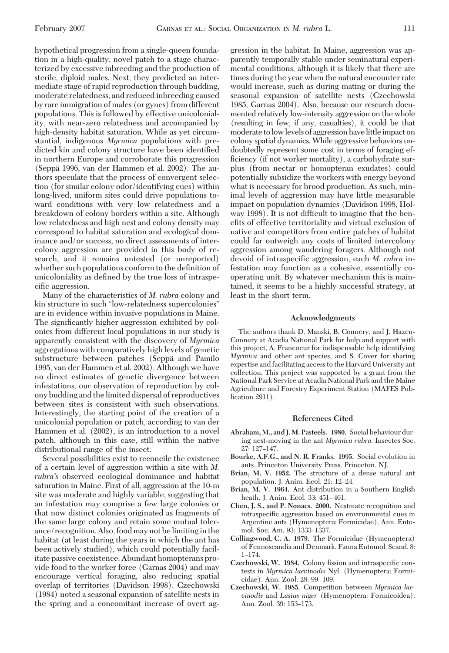hypothetical progression from a single-queen foundation in a high-quality, novel patch to a stage characterized by excessive inbreeding and the production of sterile, diploid males. Next, they predicted an intermediate stage of rapid reproduction through budding, moderate relatedness, and reduced inbreeding caused by rare immigration of males (or gynes) from different populations. This is followed by effective unicoloniality, with near-zero relatedness and accompanied by high-density habitat saturation. While as yet circumstantial, indigenous *Myrmica* populations with predicted kin and colony structure have been identified in northern Europe and corroborate this progression (Seppa¨ 1996, van der Hammen et al. 2002). The authors speculate that the process of convergent selection (for similar colony odor/identifying cues) within long-lived, uniform sites could drive populations toward conditions with very low relatedness and a breakdown of colony borders within a site. Although low relatedness and high nest and colony density may correspond to habitat saturation and ecological dominance and/or success, no direct assessments of intercolony aggression are provided in this body of research, and it remains untested (or unreported) whether such populations conform to the definition of unicoloniality as defined by the true loss of intraspecific aggression.

Many of the characteristics of *M. rubra* colony and kin structure in such "low-relatedness supercolonies" are in evidence within invasive populations in Maine. The significantly higher aggression exhibited by colonies from different local populations in our study is apparently consistent with the discovery of *Myrmica* aggregations with comparatively high levels of genetic substructure between patches (Seppa and Pamilo 1995, van der Hammen et al. 2002). Although we have no direct estimates of genetic divergence between infestations, our observation of reproduction by colony budding and the limited dispersal of reproductives between sites is consistent with such observations. Interestingly, the starting point of the creation of a unicolonial population or patch, according to van der Hammen et al. (2002), is an introduction to a novel patch, although in this case, still within the native distributional range of the insect.

Several possibilities exist to reconcile the existence of a certain level of aggression within a site with *M. rubra's* observed ecological dominance and habitat saturation in Maine. First of all, aggression at the 10-m site was moderate and highly variable, suggesting that an infestation may comprise a few large colonies or that now distinct colonies originated as fragments of the same large colony and retain some mutual tolerance/recognition. Also, food may not be limiting in the habitat (at least during the years in which the ant has been actively studied), which could potentially facilitate passive coexistence. Abundant homopterans provide food to the worker force (Garnas 2004) and may encourage vertical foraging, also reducing spatial overlap of territories (Davidson 1998). Czechowski (1984) noted a seasonal expansion of satellite nests in the spring and a concomitant increase of overt aggression in the habitat. In Maine, aggression was apparently temporally stable under seminatural experimental conditions, although it is likely that there are times during the year when the natural encounter rate would increase, such as during mating or during the seasonal expansion of satellite nests (Czechowski 1985, Garnas 2004). Also, because our research documented relatively low-intensity aggression on the whole (resulting in few, if any, casualties), it could be that moderate to low levels of aggression have little impact on colony spatial dynamics. While aggressive behaviors undoubtedly represent some cost in terms of foraging efficiency (if not worker mortality), a carbohydrate surplus (from nectar or homopteran exudates) could potentially subsidize the workers with energy beyond what is necessary for brood production. As such, minimal levels of aggression may have little measurable impact on population dynamics (Davidson 1998, Holway 1998). It is not difficult to imagine that the benefits of effective territoriality and virtual exclusion of native ant competitors from entire patches of habitat could far outweigh any costs of limited intercolony aggression among wandering foragers. Although not devoid of intraspecific aggression, each *M. rubra* infestation may function as a cohesive, essentially cooperating unit. By whatever mechanism this is maintained, it seems to be a highly successful strategy, at least in the short term.

### **Acknowledgments**

The authors thank D. Manski, B. Connery, and J. Hazen-Connery at Acadia National Park for help and support with this project, A. Francoeur for indispensable help identifying *Myrmica* and other ant species, and S. Cover for sharing expertise and facilitating access to the Harvard University ant collection. This project was supported by a grant from the National Park Service at Acadia National Park and the Maine Agriculture and Forestry Experiment Station (MAFES Publication 2911).

#### **References Cited**

- **Abraham, M., and J. M. Pasteels. 1980.** Social behaviour during nest-moving in the ant *Myrmica rubra.* Insectes Soc. 27: 127-147.
- **Bourke, A.F.G., and N. R. Franks. 1995.** Social evolution in ants. Princeton University Press, Princeton, NJ.
- **Brian, M. V. 1952.** The structure of a dense natural ant population. J. Anim. Ecol. 21: 12–24.
- **Brian, M. V. 1964.** Ant distribution in a Southern English heath. J. Anim. Ecol. 33: 451–461.
- **Chen, J. S., and P. Nonacs. 2000.** Nestmate recognition and intraspecific aggression based on environmental cues in Argentine ants (Hymenoptera: Formicidae). Ann. Entomol. Soc. Am. 93: 1333-1337.
- **Collingwood, C. A. 1979.** The Formicidae (Hymenoptera) of Fennoscandia and Denmark. Fauna Entomol. Scand. 8:  $1 - 174.$
- Czechowski, W. 1984. Colony fission and intraspecific contests in *Myrmica laevinodis* Nyl. (Hymenoptera: Formicidae). Ann. Zool. 28: 99-109.
- **Czechowski, W. 1985.** Competition between *Myrmica laevinodis* and *Lasius niger* (Hymenoptera: Formicoidea). Ann. Zool. 39: 153-173.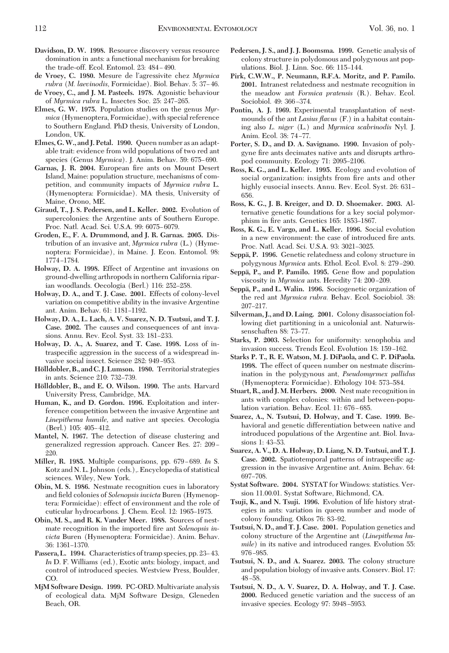- **Davidson, D. W. 1998.** Resource discovery versus resource domination in ants: a functional mechanism for breaking the trade-off. Ecol. Entomol. 23: 484-490.
- **de Vroey, C. 1980.** Mesure de lÕagressivite chez *Myrmica rubra* (*M. laevinodis, Formicidae*). Biol. Behav. 5: 37–46.
- **de Vroey, C., and J. M. Pasteels. 1978.** Agonistic behaviour of *Myrmica rubra* L. Insectes Soc. 25: 247-265.
- **Elmes, G. W. 1975.** Population studies on the genus *Myrmica* (Hymenoptera, Formicidae), with special reference to Southern England. PhD thesis, University of London, London, UK.
- **Elmes, G.W., and J. Petal. 1990.** Queen number as an adaptable trait: evidence from wild populations of two red ant species (Genus *Myrmica*). J. Anim. Behav. 59: 675-690.
- Garnas, J. R. 2004. European fire ants on Mount Desert Island, Maine: population structure, mechanisms of competition, and community impacts of *Myrmica rubra* L. (Hymenoptera: Formicidae). MA thesis, University of Maine, Orono, ME.
- **Giraud, T., J. S. Pedersen, and L. Keller. 2002.** Evolution of supercolonies: the Argentine ants of Southern Europe. Proc. Natl. Acad. Sci. U.S.A. 99: 6075-6079.
- **Groden, E., F. A. Drummond, and J. R. Garnas. 2005.** Distribution of an invasive ant, *Myrmica rubra* (L.) (Hymenoptera: Formicidae), in Maine. J. Econ. Entomol. 98: 1774-1784.
- **Holway, D. A. 1998.** Effect of Argentine ant invasions on ground-dwelling arthropods in northern California riparian woodlands. Oecologia (Berl.) 116: 252-258.
- **Holway, D. A., and T. J. Case. 2001.** Effects of colony-level variation on competitive ability in the invasive Argentine ant. Anim. Behav. 61: 1181-1192.
- **Holway, D. A., L. Lach, A. V. Suarez, N. D. Tsutsui, and T. J. Case. 2002.** The causes and consequences of ant invasions. Annu. Rev. Ecol. Syst. 33: 181-233.
- **Holway, D. A., A. Suarez, and T. Case. 1998.** Loss of intraspecific aggression in the success of a widespread invasive social insect. Science 282: 949-953.
- **Ho¨lldobler, B., and C. J. Lumson. 1980.** Territorial strategies in ants. Science 210: 732–739.
- **Ho¨lldobler, B., and E. O. Wilson. 1990.** The ants. Harvard University Press, Cambridge, MA.
- **Human, K., and D. Gordon. 1996.** Exploitation and interference competition between the invasive Argentine ant *Linepithema humile,* and native ant species. Oecologia (Berl.) 105: 405-412.
- **Mantel, N. 1967.** The detection of disease clustering and generalized regression approach. Cancer Res. 27: 209-220.
- **Miller, R. 1985.** Multiple comparisons, pp. 679-689. In S. Kotz and N. L. Johnson (eds.),. Encyclopedia of statistical sciences. Wiley, New York.
- **Obin, M. S. 1986.** Nestmate recognition cues in laboratory and field colonies of *Solenopsis invicta* Buren (Hymenoptera: Formicidae): effect of environment and the role of cuticular hydrocarbons. J. Chem. Ecol. 12: 1965–1975.
- **Obin, M. S., and R. K. Vander Meer. 1988.** Sources of nestmate recognition in the imported fire ant *Solenopsis invicta* Buren (Hymenoptera: Formicidae). Anim. Behav. 36: 1361–1370.
- Passera, L. 1994. Characteristics of tramp species, pp. 23–43. *In* D. F. Williams (ed.), Exotic ants: biology, impact, and control of introduced species. Westview Press, Boulder, CO.
- **MjM Software Design. 1999.** PC-ORD. Multivariate analysis of ecological data. MjM Software Design, Gleneden Beach, OR.
- **Pedersen, J. S., and J. J. Boomsma. 1999.** Genetic analysis of colony structure in polydomous and polygynous ant populations. Biol. J. Linn. Soc. 66: 115-144.
- **Pirk, C.W.W., P. Neumann, R.F.A. Moritz, and P. Pamilo. 2001.** Intranest relatedness and nestmate recognition in the meadow ant *Formica pratensis* (R.). Behav. Ecol. Sociobiol. 49: 366-374.
- **Pontin, A. J. 1969.** Experimental transplantation of nestmounds of the ant *Lasius flavus* (F.) in a habitat containing also *L. niger* (L.) and *Myrmica scabrinodis* Nyl. J. Anim. Ecol. 38: 74-77.
- **Porter, S. D., and D. A. Savignano. 1990.** Invasion of polygyne fire ants decimates native ants and disrupts arthropod community. Ecology 71: 2095-2106.
- **Ross, K. G., and L. Keller. 1995.** Ecology and evolution of social organization: insights from fire ants and other highly eusocial insects. Annu. Rev. Ecol. Syst. 26: 631– 656.
- **Ross, K. G., J. B. Kreiger, and D. D. Shoemaker. 2003.** Alternative genetic foundations for a key social polymorphism in fire ants. Genetics 165: 1853-1867.
- **Ross, K. G., E. Vargo, and L. Keller. 1996.** Social evolution in a new environment: the case of introduced fire ants. Proc. Natl. Acad. Sci. U.S.A. 93: 3021-3025.
- **Seppa¨, P. 1996.** Genetic relatedness and colony structure in polygynous *Myrmica* ants. Ethol. Ecol. Evol. 8: 279-290.
- **Seppa¨, P., and P. Pamilo. 1995.** Gene ßow and population viscosity in *Myrmica* ants. Heredity 74: 200-209.
- **Seppa¨, P., and L. Walin. 1996.** Sociogenetic organization of the red ant *Myrmica rubra.* Behav. Ecol. Sociobiol. 38: 207Ð217.
- **Silverman, J., and D. Laing. 2001.** Colony disassociation following diet partitioning in a unicolonial ant. Naturwissenschaften 88: 73-77.
- **Starks, P. 2003.** Selection for uniformity: xenophobia and invasion success. Trends Ecol. Evolution 18: 159-162.
- **Starks P. T., R. E. Watson, M. J. DiPaola, and C. P. DiPaola. 1998.** The effect of queen number on nestmate discrimination in the polygynous ant, *Pseudomyrmex pallidus* (Hymenoptera: Formicidae). Ethology 104: 573-584.
- **Stuart, R., and J. M. Herbers. 2000.** Nest mate recognition in ants with complex colonies: within and between-population variation. Behav. Ecol. 11: 676-685.
- **Suarez, A., N. Tsutsui, D. Holway, and T. Case. 1999.** Behavioral and genetic differentiation between native and introduced populations of the Argentine ant. Biol. Invasions 1: 43-53.
- **Suarez, A. V., D. A. Holway, D. Liang, N. D. Tsutsui, and T. J. Case. 2002.** Spatiotemporal patterns of intraspecific aggression in the invasive Argentine ant. Anim. Behav. 64: 697-708.
- **Systat Software. 2004.** SYSTAT for Windows: statistics. Version 11.00.01. Systat Software, Richmond, CA.
- **Tsuji, K., and N. Tsuji. 1996.** Evolution of life history strategies in ants: variation in queen number and mode of colony founding. Oikos 76: 83–92.
- **Tsutsui, N. D., and T. J. Case. 2001.** Population genetics and colony structure of the Argentine ant (*Linepithema humile*) in its native and introduced ranges. Evolution 55: 976-985.
- **Tsutsui, N. D., and A. Suarez. 2003.** The colony structure and population biology of invasive ants. Conserv. Biol. 17:  $48 - 58$
- **Tsutsui, N. D., A. V. Suarez, D. A. Holway, and T. J. Case. 2000.** Reduced genetic variation and the success of an invasive species. Ecology 97: 5948-5953.